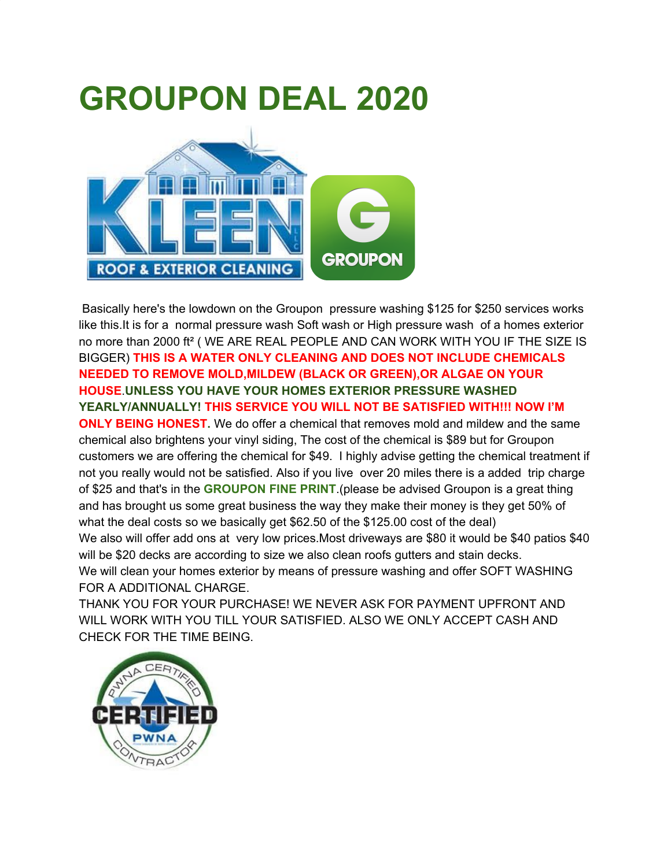## **GROUPON DEAL 2020**



Basically here's the lowdown on the Groupon pressure washing \$125 for \$250 services works like this.It is for a normal pressure wash Soft wash or High pressure wash of a homes exterior no more than 2000 ft² ( WE ARE REAL PEOPLE AND CAN WORK WITH YOU IF THE SIZE IS BIGGER) **THIS IS A WATER ONLY CLEANING AND DOES NOT INCLUDE CHEMICALS NEEDED TO REMOVE MOLD,MILDEW (BLACK OR GREEN),OR ALGAE ON YOUR HOUSE**.**UNLESS YOU HAVE YOUR HOMES EXTERIOR PRESSURE WASHED YEARLY/ANNUALLY! THIS SERVICE YOU WILL NOT BE SATISFIED WITH!!! NOW I'M ONLY BEING HONEST.** We do offer a chemical that removes mold and mildew and the same chemical also brightens your vinyl siding, The cost of the chemical is \$89 but for Groupon customers we are offering the chemical for \$49. I highly advise getting the chemical treatment if not you really would not be satisfied. Also if you live over 20 miles there is a added trip charge of \$25 and that's in the **GROUPON FINE PRINT**.(please be advised Groupon is a great thing and has brought us some great business the way they make their money is they get 50% of what the deal costs so we basically get \$62.50 of the \$125.00 cost of the deal) We also will offer add ons at very low prices.Most driveways are \$80 it would be \$40 patios \$40 will be \$20 decks are according to size we also clean roofs gutters and stain decks. We will clean your homes exterior by means of pressure washing and offer SOFT WASHING FOR A ADDITIONAL CHARGE.

THANK YOU FOR YOUR PURCHASE! WE NEVER ASK FOR PAYMENT UPFRONT AND WILL WORK WITH YOU TILL YOUR SATISFIED. ALSO WE ONLY ACCEPT CASH AND CHECK FOR THE TIME BEING.

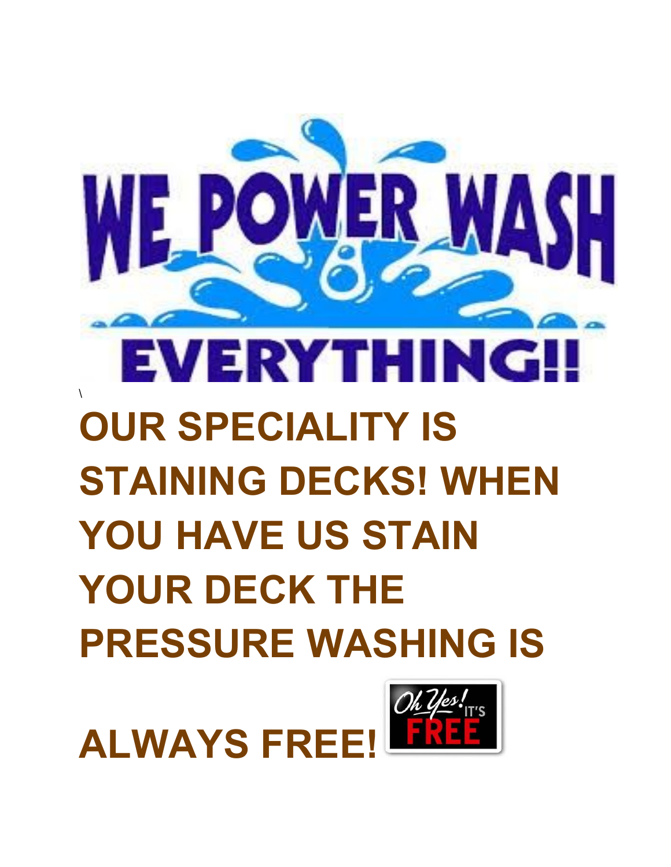

## EVERYTH NG \ **OUR SPECIALITY IS STAINING DECKS! WHEN YOU HAVE US STAIN YOUR DECK THE PRESSURE WASHING IS**

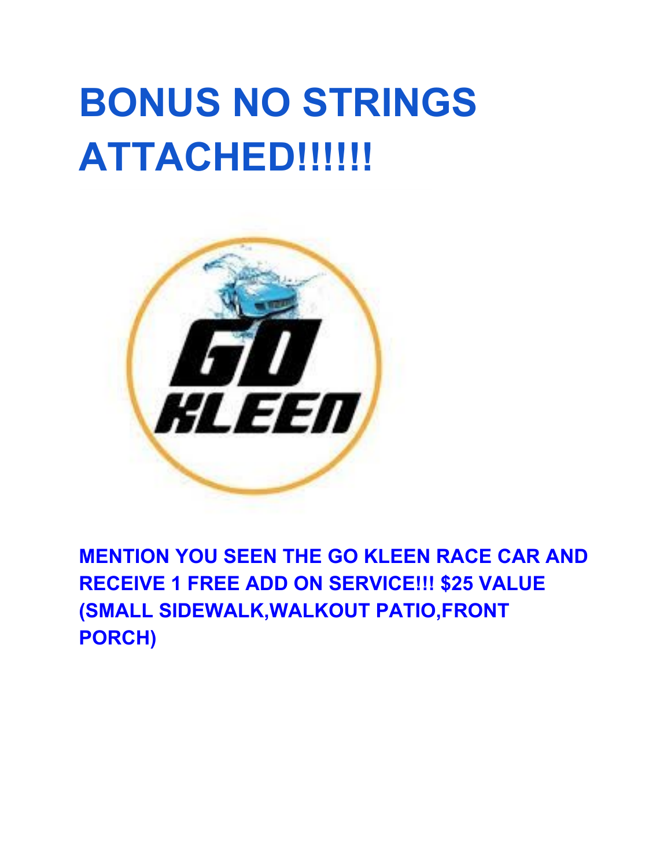## **BONUS NO STRINGS ATTACHED!!!!!!**



**MENTION YOU SEEN THE GO KLEEN RACE CAR AND RECEIVE 1 FREE ADD ON SERVICE!!! \$25 VALUE (SMALL SIDEWALK,WALKOUT PATIO,FRONT PORCH)**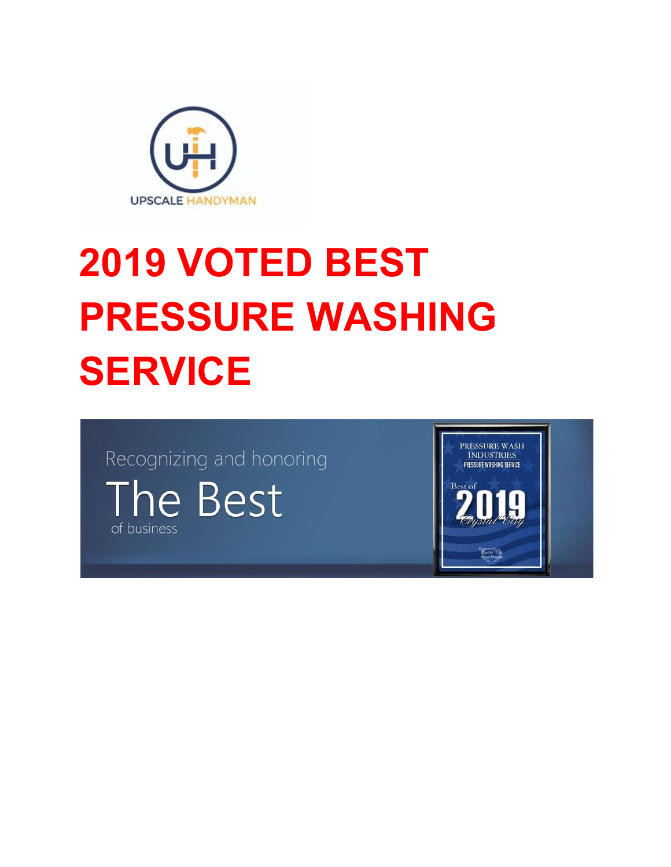

## **2019 VOTED BEST PRESSURE WASHING SERVICE**

Recognizing and honoring The Best of business